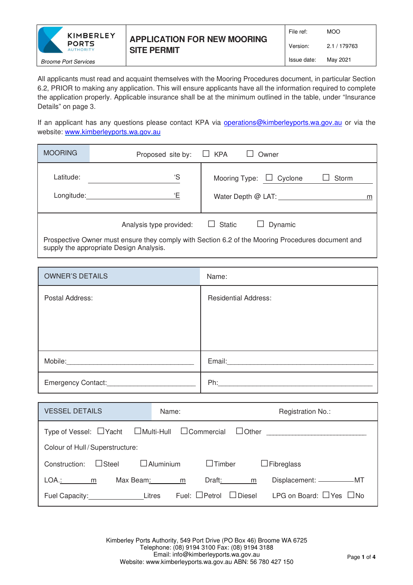

All applicants must read and acquaint themselves with the Mooring Procedures document, in particular Section 6.2, PRIOR to making any application. This will ensure applicants have all the information required to complete the application properly. Applicable insurance shall be at the minimum outlined in the table, under "Insurance Details" on page 3.

If an applicant has any questions please contact KPA via operations@kimberleyports.wa.gov.au or via the website: www.kimberleyports.wa.gov.au

| <b>MOORING</b>                                                                                                                               | Proposed site by:       | $\Box$ KPA<br>Owner                                         |  |  |
|----------------------------------------------------------------------------------------------------------------------------------------------|-------------------------|-------------------------------------------------------------|--|--|
| Latitude:<br>Longitude:                                                                                                                      | 'S<br>Έ                 | Mooring Type: $\Box$ Cyclone<br>Storm<br>Water Depth @ LAT: |  |  |
|                                                                                                                                              | Analysis type provided: | $\Box$ Static<br>Dynamic                                    |  |  |
| Prospective Owner must ensure they comply with Section 6.2 of the Mooring Procedures document and<br>supply the appropriate Design Analysis. |                         |                                                             |  |  |

| <b>OWNER'S DETAILS</b>                                                                                                          | Name:                                                                                                                                                                                                                          |
|---------------------------------------------------------------------------------------------------------------------------------|--------------------------------------------------------------------------------------------------------------------------------------------------------------------------------------------------------------------------------|
| Postal Address:                                                                                                                 | <b>Residential Address:</b>                                                                                                                                                                                                    |
|                                                                                                                                 |                                                                                                                                                                                                                                |
|                                                                                                                                 |                                                                                                                                                                                                                                |
|                                                                                                                                 |                                                                                                                                                                                                                                |
| Mobile:<br><u> 1980 - Jan Samuel Barbara, prima a prima a prima a prima a prima a prima a prima a prima a prima a prima a p</u> | Email: Email: Email: Email: Email: Email: Email: Email: Email: Email: Email: Email: Email: Email: Email: Email: Email: Email: Email: Email: Email: Email: Email: Email: Email: Email: Email: Email: Email: Email: Email: Email |
| Emergency Contact:                                                                                                              | Ph:                                                                                                                                                                                                                            |

| <b>VESSEL DETAILS</b>                                                                   | Name:                                | Registration No.:                  |  |  |  |
|-----------------------------------------------------------------------------------------|--------------------------------------|------------------------------------|--|--|--|
| Type of Vessel: $\Box$ Yacht $\Box$ Multi-Hull $\Box$ Commercial $\Box$ Other           |                                      |                                    |  |  |  |
| Colour of Hull / Superstructure:                                                        |                                      |                                    |  |  |  |
| $\Box$ Aluminium<br>$\Box$ Timber<br>$\Box$ Fibreglass<br>$\Box$ Steel<br>Construction: |                                      |                                    |  |  |  |
| Max Beam:<br>LOA.: m                                                                    | Draft: Draft:<br>m<br>m              | Displacement: ____________MT       |  |  |  |
| Fuel Capacity: Litres                                                                   | Fuel: $\Box$ Petrol<br>$\Box$ Diesel | LPG on Board: $\Box$ Yes $\Box$ No |  |  |  |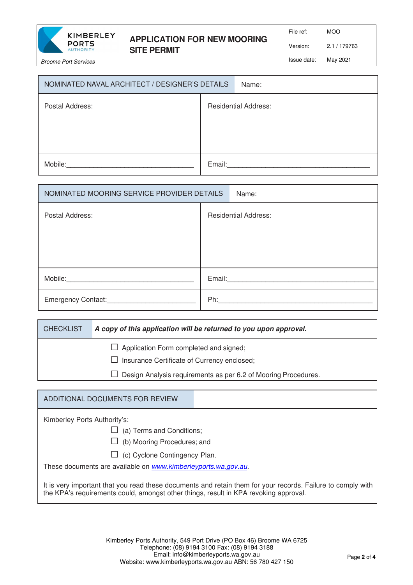

## **APPLICATION FOR NEW MOORING SITE PERMIT**

File ref: MOO

Version: 2.1 / 179763

Issue date: May 2021

| NOMINATED NAVAL ARCHITECT / DESIGNER'S DETAILS |        | Name:                       |
|------------------------------------------------|--------|-----------------------------|
| Postal Address:                                |        | <b>Residential Address:</b> |
| Mobile:                                        | Email: |                             |

| NOMINATED MOORING SERVICE PROVIDER DETAILS |        | Name:                       |
|--------------------------------------------|--------|-----------------------------|
| Postal Address:                            |        | <b>Residential Address:</b> |
|                                            |        |                             |
|                                            |        |                             |
|                                            |        |                             |
| Mobile:                                    | Email: |                             |
| Emergency Contact:___________              | Ph:    |                             |

| <b>CHECKLIST</b> | A copy of this application will be returned to you upon approval.              |
|------------------|--------------------------------------------------------------------------------|
|                  | $\Box$ Application Form completed and signed;                                  |
|                  | $\Box$ Insurance Certificate of Currency enclosed;                             |
|                  | Design Analysis requirements as per 6.2 of Mooring Procedures.<br>$\mathbf{I}$ |

## ADDITIONAL DOCUMENTS FOR REVIEW

| Kimberley Ports Authority's: |
|------------------------------|
| $\Box$ (a) Terms and Cor     |

- nditions:
- $\Box$  (b) Mooring Procedures; and
- $\Box$  (c) Cyclone Contingency Plan.

These documents are available on www.kimberleyports.wa.gov.au.

It is very important that you read these documents and retain them for your records. Failure to comply with the KPA's requirements could, amongst other things, result in KPA revoking approval.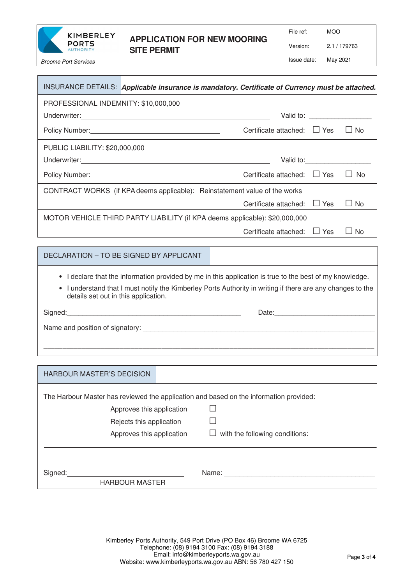

## **APPLICATION FOR NEW MOORING SITE PERMIT**

File ref: MOO

Version: 2.1 / 179763

Issue date: May 2021

| INSURANCE DETAILS: Applicable insurance is mandatory. Certificate of Currency must be attached.                                                                                                                                                                                                                                                                                                                                                                                                                                             |                                       |            |           |  |  |
|---------------------------------------------------------------------------------------------------------------------------------------------------------------------------------------------------------------------------------------------------------------------------------------------------------------------------------------------------------------------------------------------------------------------------------------------------------------------------------------------------------------------------------------------|---------------------------------------|------------|-----------|--|--|
| PROFESSIONAL INDEMNITY: \$10,000,000                                                                                                                                                                                                                                                                                                                                                                                                                                                                                                        |                                       |            |           |  |  |
|                                                                                                                                                                                                                                                                                                                                                                                                                                                                                                                                             |                                       |            |           |  |  |
|                                                                                                                                                                                                                                                                                                                                                                                                                                                                                                                                             | Certificate attached: $\Box$ Yes      |            | $\Box$ No |  |  |
| <b>PUBLIC LIABILITY: \$20,000,000</b>                                                                                                                                                                                                                                                                                                                                                                                                                                                                                                       |                                       |            |           |  |  |
|                                                                                                                                                                                                                                                                                                                                                                                                                                                                                                                                             |                                       | Valid to:  |           |  |  |
| Policy Number: <u>contained and all provides</u>                                                                                                                                                                                                                                                                                                                                                                                                                                                                                            | Certificate attached: $\Box$ Yes      |            | $\Box$ No |  |  |
| CONTRACT WORKS (if KPA deems applicable): Reinstatement value of the works                                                                                                                                                                                                                                                                                                                                                                                                                                                                  |                                       |            |           |  |  |
|                                                                                                                                                                                                                                                                                                                                                                                                                                                                                                                                             | Certificate attached:                 | $\Box$ Yes | ∟ No      |  |  |
| MOTOR VEHICLE THIRD PARTY LIABILITY (if KPA deems applicable): \$20,000,000                                                                                                                                                                                                                                                                                                                                                                                                                                                                 |                                       |            |           |  |  |
|                                                                                                                                                                                                                                                                                                                                                                                                                                                                                                                                             | Certificate attached:                 | $\Box$ Yes | $\Box$ No |  |  |
|                                                                                                                                                                                                                                                                                                                                                                                                                                                                                                                                             |                                       |            |           |  |  |
| DECLARATION - TO BE SIGNED BY APPLICANT                                                                                                                                                                                                                                                                                                                                                                                                                                                                                                     |                                       |            |           |  |  |
| I declare that the information provided by me in this application is true to the best of my knowledge.<br>$\bullet$<br>I understand that I must notify the Kimberley Ports Authority in writing if there are any changes to the<br>$\bullet$<br>details set out in this application.<br>Signed: <u>2000 - 2000 - 2000 - 2000 - 2000 - 2000 - 2000 - 2000 - 2000 - 2000 - 2000 - 2000 - 2000 - 2000 - 2000 - 2000 - 2000 - 2000 - 2000 - 2000 - 2000 - 2000 - 2000 - 2000 - 2000 - 2000 - 2000 - 2000 - 2000 - 2000 - 200</u><br>Date: Date: |                                       |            |           |  |  |
|                                                                                                                                                                                                                                                                                                                                                                                                                                                                                                                                             |                                       |            |           |  |  |
| <b>HARBOUR MASTER'S DECISION</b>                                                                                                                                                                                                                                                                                                                                                                                                                                                                                                            |                                       |            |           |  |  |
|                                                                                                                                                                                                                                                                                                                                                                                                                                                                                                                                             |                                       |            |           |  |  |
| The Harbour Master has reviewed the application and based on the information provided:<br>Approves this application<br>Rejects this application<br>Approves this application                                                                                                                                                                                                                                                                                                                                                                | $\Box$ with the following conditions: |            |           |  |  |
| Signed: the contract of the contract of the contract of the contract of the contract of the contract of the contract of the contract of the contract of the contract of the contract of the contract of the contract of the co                                                                                                                                                                                                                                                                                                              |                                       |            |           |  |  |